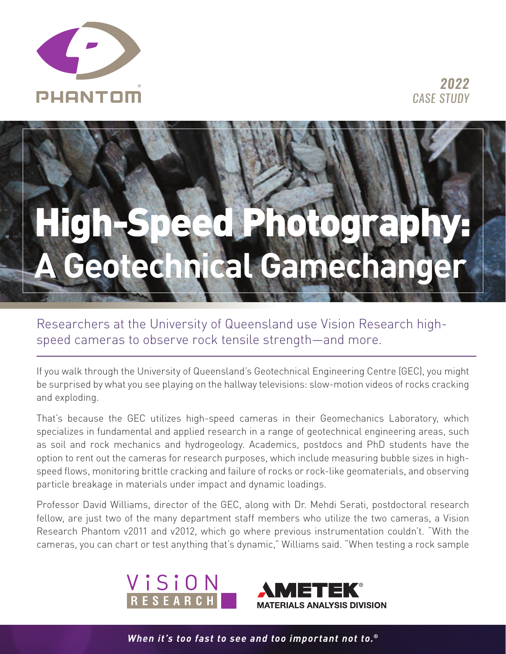



Researchers at the University of Queensland use Vision Research highspeed cameras to observe rock tensile strength—and more.

If you walk through the University of Queensland's Geotechnical Engineering Centre (GEC), you might be surprised by what you see playing on the hallway televisions: slow-motion videos of rocks cracking and exploding.

That's because the GEC utilizes high-speed cameras in their Geomechanics Laboratory, which specializes in fundamental and applied research in a range of geotechnical engineering areas, such as soil and rock mechanics and hydrogeology. Academics, postdocs and PhD students have the option to rent out the cameras for research purposes, which include measuring bubble sizes in highspeed flows, monitoring brittle cracking and failure of rocks or rock-like geomaterials, and observing particle breakage in materials under impact and dynamic loadings.

Professor David Williams, director of the GEC, along with Dr. Mehdi Serati, postdoctoral research fellow, are just two of the many department staff members who utilize the two cameras, a Vision Research Phantom v2011 and v2012, which go where previous instrumentation couldn't. "With the cameras, you can chart or test anything that's dynamic," Williams said. "When testing a rock sample





*When it's too fast to see and too important not to.®*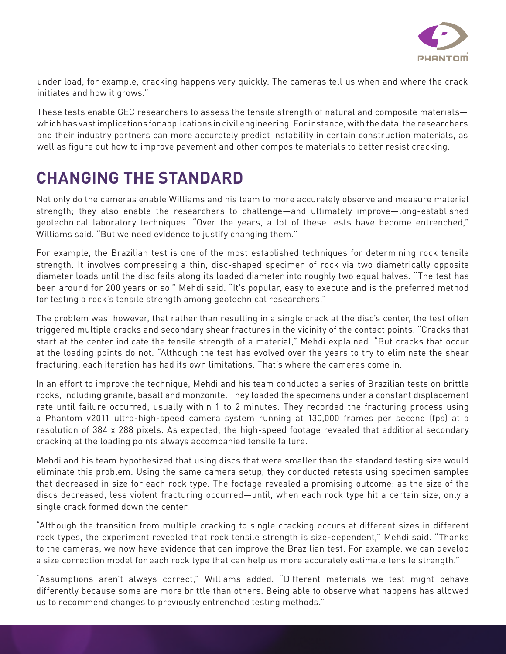

under load, for example, cracking happens very quickly. The cameras tell us when and where the crack initiates and how it grows."

These tests enable GEC researchers to assess the tensile strength of natural and composite materials which has vast implications for applications in civil engineering. For instance, with the data, the researchers and their industry partners can more accurately predict instability in certain construction materials, as well as figure out how to improve pavement and other composite materials to better resist cracking.

## **CHANGING THE STANDARD**

Not only do the cameras enable Williams and his team to more accurately observe and measure material strength; they also enable the researchers to challenge—and ultimately improve—long-established geotechnical laboratory techniques. "Over the years, a lot of these tests have become entrenched," Williams said. "But we need evidence to justify changing them."

For example, the Brazilian test is one of the most established techniques for determining rock tensile strength. It involves compressing a thin, disc-shaped specimen of rock via two diametrically opposite diameter loads until the disc fails along its loaded diameter into roughly two equal halves. "The test has been around for 200 years or so," Mehdi said. "It's popular, easy to execute and is the preferred method for testing a rock's tensile strength among geotechnical researchers."

The problem was, however, that rather than resulting in a single crack at the disc's center, the test often triggered multiple cracks and secondary shear fractures in the vicinity of the contact points. "Cracks that start at the center indicate the tensile strength of a material," Mehdi explained. "But cracks that occur at the loading points do not. "Although the test has evolved over the years to try to eliminate the shear fracturing, each iteration has had its own limitations. That's where the cameras come in.

In an effort to improve the technique, Mehdi and his team conducted a series of Brazilian tests on brittle rocks, including granite, basalt and monzonite. They loaded the specimens under a constant displacement rate until failure occurred, usually within 1 to 2 minutes. They recorded the fracturing process using a Phantom v2011 ultra-high-speed camera system running at 130,000 frames per second (fps) at a resolution of 384 x 288 pixels. As expected, the high-speed footage revealed that additional secondary cracking at the loading points always accompanied tensile failure.

Mehdi and his team hypothesized that using discs that were smaller than the standard testing size would eliminate this problem. Using the same camera setup, they conducted retests using specimen samples that decreased in size for each rock type. The footage revealed a promising outcome: as the size of the discs decreased, less violent fracturing occurred—until, when each rock type hit a certain size, only a single crack formed down the center.

"Although the transition from multiple cracking to single cracking occurs at different sizes in different rock types, the experiment revealed that rock tensile strength is size-dependent," Mehdi said. "Thanks to the cameras, we now have evidence that can improve the Brazilian test. For example, we can develop a size correction model for each rock type that can help us more accurately estimate tensile strength."

"Assumptions aren't always correct," Williams added. "Different materials we test might behave differently because some are more brittle than others. Being able to observe what happens has allowed us to recommend changes to previously entrenched testing methods."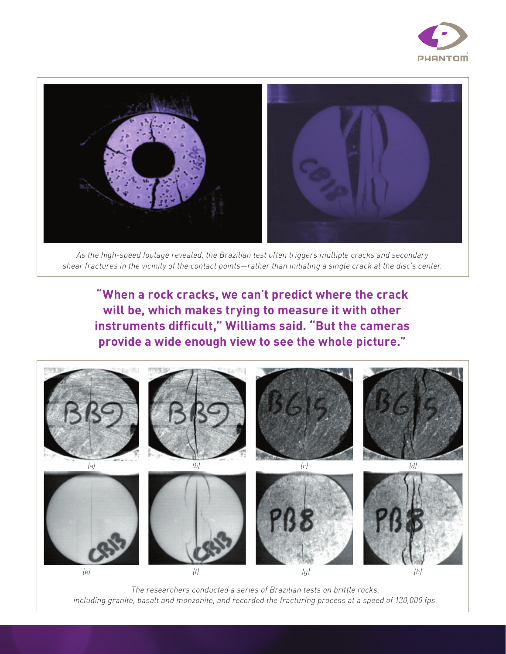



*As the high-speed footage revealed, the Brazilian test often triggers multiple cracks and secondary shear fractures in the vicinity of the contact points—rather than initiating a single crack at the disc's center.*

**"When a rock cracks, we can't predict where the crack will be, which makes trying to measure it with other instruments difficult," Williams said. "But the cameras provide a wide enough view to see the whole picture."**



*The researchers conducted a series of Brazilian tests on brittle rocks, including granite, basalt and monzonite, and recorded the fracturing process at a speed of 130,000 fps.*